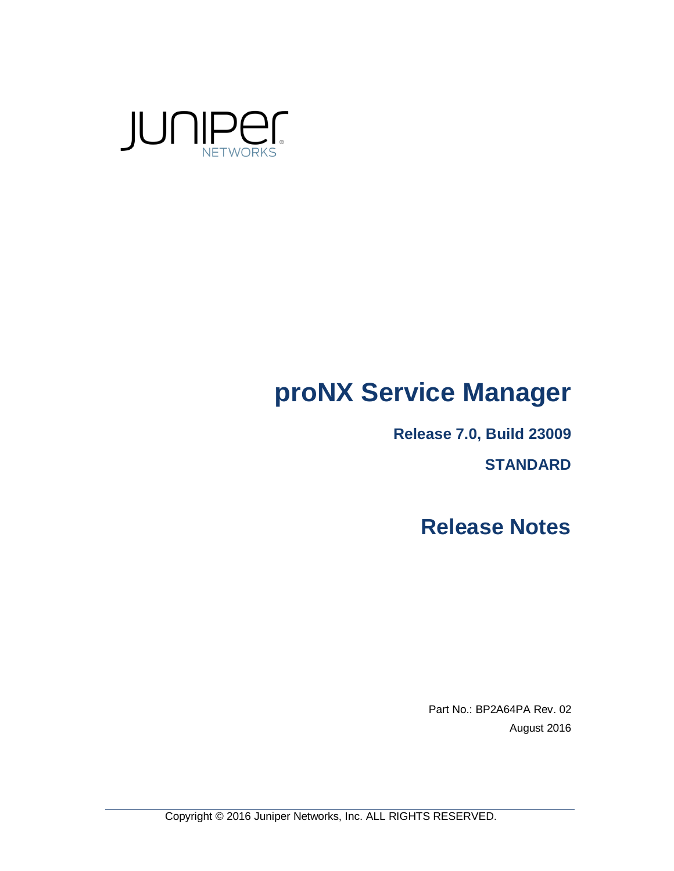

# **proNX Service Manager**

**Release 7.0, Build 23009**

**STANDARD**

**Release Notes**

Part No.: BP2A64PA Rev. 02 August 2016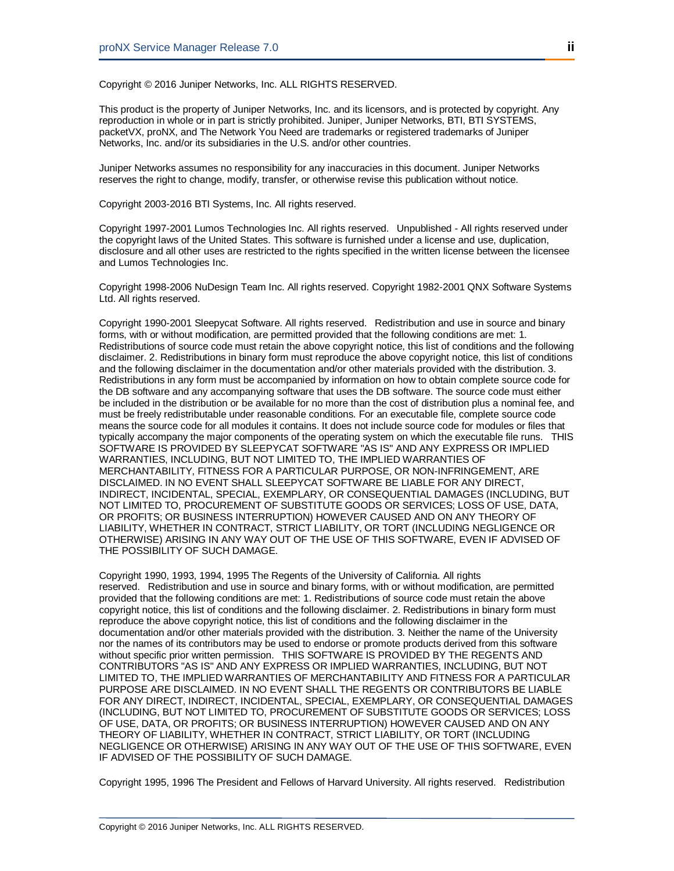Copyright © 2016 Juniper Networks, Inc. ALL RIGHTS RESERVED.

This product is the property of Juniper Networks, Inc. and its licensors, and is protected by copyright. Any reproduction in whole or in part is strictly prohibited. Juniper, Juniper Networks, BTI, BTI SYSTEMS, packetVX, proNX, and The Network You Need are trademarks or registered trademarks of Juniper Networks, Inc. and/or its subsidiaries in the U.S. and/or other countries.

Juniper Networks assumes no responsibility for any inaccuracies in this document. Juniper Networks reserves the right to change, modify, transfer, or otherwise revise this publication without notice.

Copyright 2003-2016 BTI Systems, Inc. All rights reserved.

Copyright 1997-2001 Lumos Technologies Inc. All rights reserved. Unpublished - All rights reserved under the copyright laws of the United States. This software is furnished under a license and use, duplication, disclosure and all other uses are restricted to the rights specified in the written license between the licensee and Lumos Technologies Inc.

Copyright 1998-2006 NuDesign Team Inc. All rights reserved. Copyright 1982-2001 QNX Software Systems Ltd. All rights reserved.

Copyright 1990-2001 Sleepycat Software. All rights reserved. Redistribution and use in source and binary forms, with or without modification, are permitted provided that the following conditions are met: 1. Redistributions of source code must retain the above copyright notice, this list of conditions and the following disclaimer. 2. Redistributions in binary form must reproduce the above copyright notice, this list of conditions and the following disclaimer in the documentation and/or other materials provided with the distribution. 3. Redistributions in any form must be accompanied by information on how to obtain complete source code for the DB software and any accompanying software that uses the DB software. The source code must either be included in the distribution or be available for no more than the cost of distribution plus a nominal fee, and must be freely redistributable under reasonable conditions. For an executable file, complete source code means the source code for all modules it contains. It does not include source code for modules or files that typically accompany the major components of the operating system on which the executable file runs. THIS SOFTWARE IS PROVIDED BY SLEEPYCAT SOFTWARE "AS IS" AND ANY EXPRESS OR IMPLIED WARRANTIES, INCLUDING, BUT NOT LIMITED TO, THE IMPLIED WARRANTIES OF MERCHANTABILITY, FITNESS FOR A PARTICULAR PURPOSE, OR NON-INFRINGEMENT, ARE DISCLAIMED. IN NO EVENT SHALL SLEEPYCAT SOFTWARE BE LIABLE FOR ANY DIRECT, INDIRECT, INCIDENTAL, SPECIAL, EXEMPLARY, OR CONSEQUENTIAL DAMAGES (INCLUDING, BUT NOT LIMITED TO, PROCUREMENT OF SUBSTITUTE GOODS OR SERVICES; LOSS OF USE, DATA, OR PROFITS; OR BUSINESS INTERRUPTION) HOWEVER CAUSED AND ON ANY THEORY OF LIABILITY, WHETHER IN CONTRACT, STRICT LIABILITY, OR TORT (INCLUDING NEGLIGENCE OR OTHERWISE) ARISING IN ANY WAY OUT OF THE USE OF THIS SOFTWARE, EVEN IF ADVISED OF THE POSSIBILITY OF SUCH DAMAGE.

Copyright 1990, 1993, 1994, 1995 The Regents of the University of California. All rights reserved. Redistribution and use in source and binary forms, with or without modification, are permitted provided that the following conditions are met: 1. Redistributions of source code must retain the above copyright notice, this list of conditions and the following disclaimer. 2. Redistributions in binary form must reproduce the above copyright notice, this list of conditions and the following disclaimer in the documentation and/or other materials provided with the distribution. 3. Neither the name of the University nor the names of its contributors may be used to endorse or promote products derived from this software without specific prior written permission. THIS SOFTWARE IS PROVIDED BY THE REGENTS AND CONTRIBUTORS "AS IS" AND ANY EXPRESS OR IMPLIED WARRANTIES, INCLUDING, BUT NOT LIMITED TO, THE IMPLIED WARRANTIES OF MERCHANTABILITY AND FITNESS FOR A PARTICULAR PURPOSE ARE DISCLAIMED. IN NO EVENT SHALL THE REGENTS OR CONTRIBUTORS BE LIABLE FOR ANY DIRECT, INDIRECT, INCIDENTAL, SPECIAL, EXEMPLARY, OR CONSEQUENTIAL DAMAGES (INCLUDING, BUT NOT LIMITED TO, PROCUREMENT OF SUBSTITUTE GOODS OR SERVICES; LOSS OF USE, DATA, OR PROFITS; OR BUSINESS INTERRUPTION) HOWEVER CAUSED AND ON ANY THEORY OF LIABILITY, WHETHER IN CONTRACT, STRICT LIABILITY, OR TORT (INCLUDING NEGLIGENCE OR OTHERWISE) ARISING IN ANY WAY OUT OF THE USE OF THIS SOFTWARE, EVEN IF ADVISED OF THE POSSIBILITY OF SUCH DAMAGE.

Copyright 1995, 1996 The President and Fellows of Harvard University. All rights reserved. Redistribution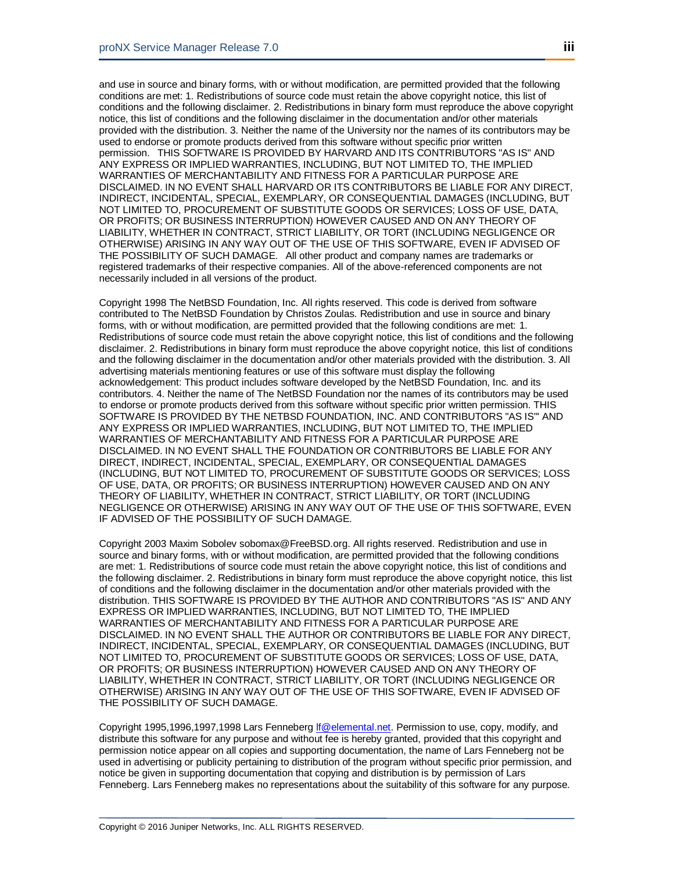and use in source and binary forms, with or without modification, are permitted provided that the following conditions are met: 1. Redistributions of source code must retain the above copyright notice, this list of conditions and the following disclaimer. 2. Redistributions in binary form must reproduce the above copyright notice, this list of conditions and the following disclaimer in the documentation and/or other materials provided with the distribution. 3. Neither the name of the University nor the names of its contributors may be used to endorse or promote products derived from this software without specific prior written permission. THIS SOFTWARE IS PROVIDED BY HARVARD AND ITS CONTRIBUTORS "AS IS" AND ANY EXPRESS OR IMPLIED WARRANTIES, INCLUDING, BUT NOT LIMITED TO, THE IMPLIED WARRANTIES OF MERCHANTABILITY AND FITNESS FOR A PARTICULAR PURPOSE ARE DISCLAIMED. IN NO EVENT SHALL HARVARD OR ITS CONTRIBUTORS BE LIABLE FOR ANY DIRECT, INDIRECT, INCIDENTAL, SPECIAL, EXEMPLARY, OR CONSEQUENTIAL DAMAGES (INCLUDING, BUT NOT LIMITED TO, PROCUREMENT OF SUBSTITUTE GOODS OR SERVICES; LOSS OF USE, DATA, OR PROFITS; OR BUSINESS INTERRUPTION) HOWEVER CAUSED AND ON ANY THEORY OF LIABILITY, WHETHER IN CONTRACT, STRICT LIABILITY, OR TORT (INCLUDING NEGLIGENCE OR OTHERWISE) ARISING IN ANY WAY OUT OF THE USE OF THIS SOFTWARE, EVEN IF ADVISED OF THE POSSIBILITY OF SUCH DAMAGE. All other product and company names are trademarks or registered trademarks of their respective companies. All of the above-referenced components are not necessarily included in all versions of the product.

Copyright 1998 The NetBSD Foundation, Inc. All rights reserved. This code is derived from software contributed to The NetBSD Foundation by Christos Zoulas. Redistribution and use in source and binary forms, with or without modification, are permitted provided that the following conditions are met: 1. Redistributions of source code must retain the above copyright notice, this list of conditions and the following disclaimer. 2. Redistributions in binary form must reproduce the above copyright notice, this list of conditions and the following disclaimer in the documentation and/or other materials provided with the distribution. 3. All advertising materials mentioning features or use of this software must display the following acknowledgement: This product includes software developed by the NetBSD Foundation, Inc. and its contributors. 4. Neither the name of The NetBSD Foundation nor the names of its contributors may be used to endorse or promote products derived from this software without specific prior written permission. THIS SOFTWARE IS PROVIDED BY THE NETBSD FOUNDATION, INC. AND CONTRIBUTORS "AS IS"' AND ANY EXPRESS OR IMPLIED WARRANTIES, INCLUDING, BUT NOT LIMITED TO, THE IMPLIED WARRANTIES OF MERCHANTABILITY AND FITNESS FOR A PARTICULAR PURPOSE ARE DISCLAIMED. IN NO EVENT SHALL THE FOUNDATION OR CONTRIBUTORS BE LIABLE FOR ANY DIRECT, INDIRECT, INCIDENTAL, SPECIAL, EXEMPLARY, OR CONSEQUENTIAL DAMAGES (INCLUDING, BUT NOT LIMITED TO, PROCUREMENT OF SUBSTITUTE GOODS OR SERVICES; LOSS OF USE, DATA, OR PROFITS; OR BUSINESS INTERRUPTION) HOWEVER CAUSED AND ON ANY THEORY OF LIABILITY, WHETHER IN CONTRACT, STRICT LIABILITY, OR TORT (INCLUDING NEGLIGENCE OR OTHERWISE) ARISING IN ANY WAY OUT OF THE USE OF THIS SOFTWARE, EVEN IF ADVISED OF THE POSSIBILITY OF SUCH DAMAGE.

Copyright 2003 Maxim Sobolev sobomax@FreeBSD.org. All rights reserved. Redistribution and use in source and binary forms, with or without modification, are permitted provided that the following conditions are met: 1. Redistributions of source code must retain the above copyright notice, this list of conditions and the following disclaimer. 2. Redistributions in binary form must reproduce the above copyright notice, this list of conditions and the following disclaimer in the documentation and/or other materials provided with the distribution. THIS SOFTWARE IS PROVIDED BY THE AUTHOR AND CONTRIBUTORS "AS IS'' AND ANY EXPRESS OR IMPLIED WARRANTIES, INCLUDING, BUT NOT LIMITED TO, THE IMPLIED WARRANTIES OF MERCHANTABILITY AND FITNESS FOR A PARTICULAR PURPOSE ARE DISCLAIMED. IN NO EVENT SHALL THE AUTHOR OR CONTRIBUTORS BE LIABLE FOR ANY DIRECT, INDIRECT, INCIDENTAL, SPECIAL, EXEMPLARY, OR CONSEQUENTIAL DAMAGES (INCLUDING, BUT NOT LIMITED TO, PROCUREMENT OF SUBSTITUTE GOODS OR SERVICES; LOSS OF USE, DATA, OR PROFITS; OR BUSINESS INTERRUPTION) HOWEVER CAUSED AND ON ANY THEORY OF LIABILITY, WHETHER IN CONTRACT, STRICT LIABILITY, OR TORT (INCLUDING NEGLIGENCE OR OTHERWISE) ARISING IN ANY WAY OUT OF THE USE OF THIS SOFTWARE, EVEN IF ADVISED OF THE POSSIBILITY OF SUCH DAMAGE.

Copyright 1995,1996,1997,1998 Lars Fenneberg *If* @elemental.net. Permission to use, copy, modify, and distribute this software for any purpose and without fee is hereby granted, provided that this copyright and permission notice appear on all copies and supporting documentation, the name of Lars Fenneberg not be used in advertising or publicity pertaining to distribution of the program without specific prior permission, and notice be given in supporting documentation that copying and distribution is by permission of Lars Fenneberg. Lars Fenneberg makes no representations about the suitability of this software for any purpose.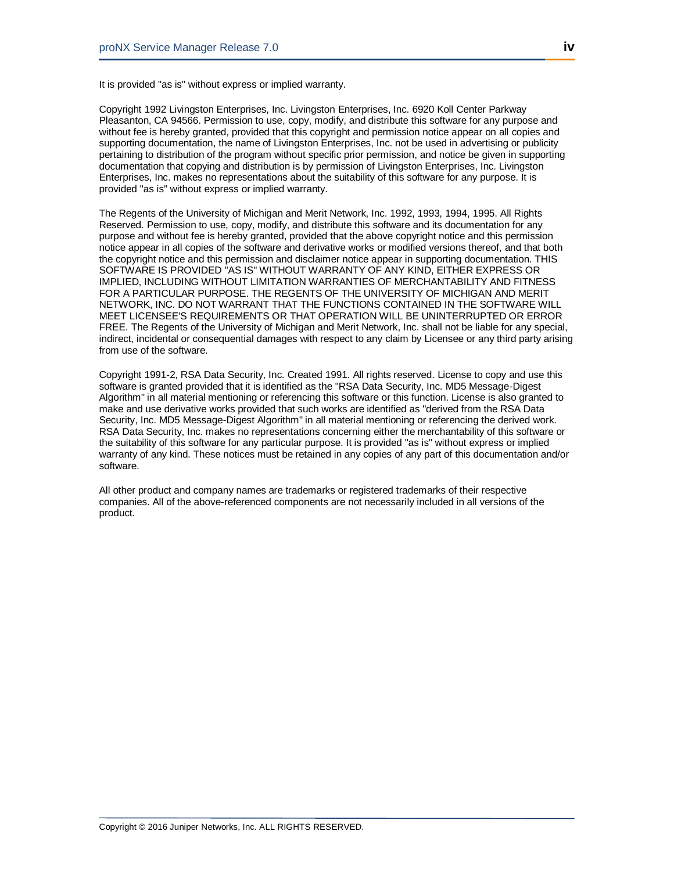It is provided "as is" without express or implied warranty.

Copyright 1992 Livingston Enterprises, Inc. Livingston Enterprises, Inc. 6920 Koll Center Parkway Pleasanton, CA 94566. Permission to use, copy, modify, and distribute this software for any purpose and without fee is hereby granted, provided that this copyright and permission notice appear on all copies and supporting documentation, the name of Livingston Enterprises, Inc. not be used in advertising or publicity pertaining to distribution of the program without specific prior permission, and notice be given in supporting documentation that copying and distribution is by permission of Livingston Enterprises, Inc. Livingston Enterprises, Inc. makes no representations about the suitability of this software for any purpose. It is provided "as is" without express or implied warranty.

The Regents of the University of Michigan and Merit Network, Inc. 1992, 1993, 1994, 1995. All Rights Reserved. Permission to use, copy, modify, and distribute this software and its documentation for any purpose and without fee is hereby granted, provided that the above copyright notice and this permission notice appear in all copies of the software and derivative works or modified versions thereof, and that both the copyright notice and this permission and disclaimer notice appear in supporting documentation. THIS SOFTWARE IS PROVIDED "AS IS" WITHOUT WARRANTY OF ANY KIND, EITHER EXPRESS OR IMPLIED, INCLUDING WITHOUT LIMITATION WARRANTIES OF MERCHANTABILITY AND FITNESS FOR A PARTICULAR PURPOSE. THE REGENTS OF THE UNIVERSITY OF MICHIGAN AND MERIT NETWORK, INC. DO NOT WARRANT THAT THE FUNCTIONS CONTAINED IN THE SOFTWARE WILL MEET LICENSEE'S REQUIREMENTS OR THAT OPERATION WILL BE UNINTERRUPTED OR ERROR FREE. The Regents of the University of Michigan and Merit Network, Inc. shall not be liable for any special, indirect, incidental or consequential damages with respect to any claim by Licensee or any third party arising from use of the software.

Copyright 1991-2, RSA Data Security, Inc. Created 1991. All rights reserved. License to copy and use this software is granted provided that it is identified as the "RSA Data Security, Inc. MD5 Message-Digest Algorithm" in all material mentioning or referencing this software or this function. License is also granted to make and use derivative works provided that such works are identified as "derived from the RSA Data Security, Inc. MD5 Message-Digest Algorithm" in all material mentioning or referencing the derived work. RSA Data Security, Inc. makes no representations concerning either the merchantability of this software or the suitability of this software for any particular purpose. It is provided "as is" without express or implied warranty of any kind. These notices must be retained in any copies of any part of this documentation and/or software.

All other product and company names are trademarks or registered trademarks of their respective companies. All of the above-referenced components are not necessarily included in all versions of the product.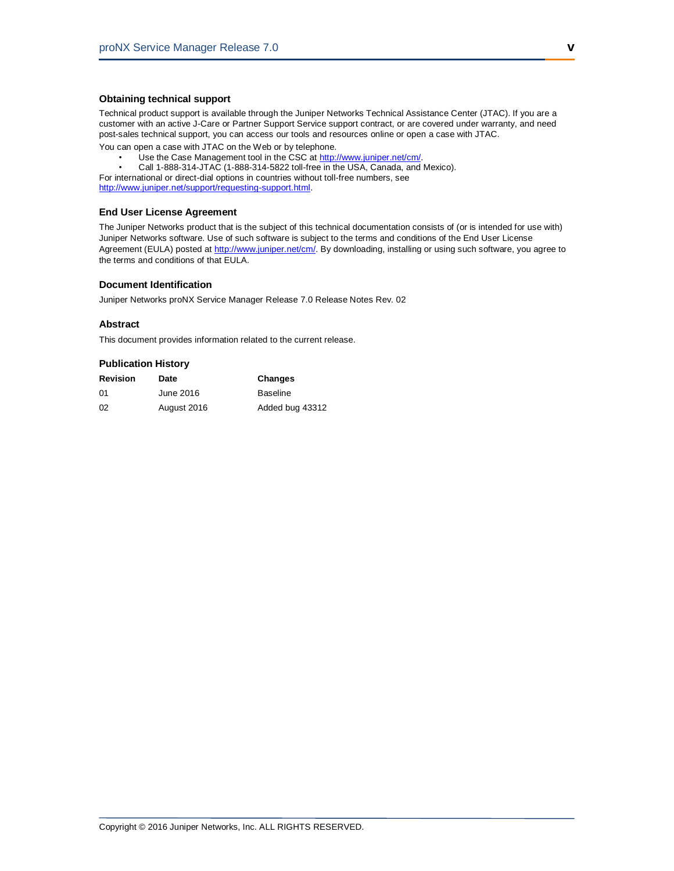#### **Obtaining technical support**

Technical product support is available through the Juniper Networks Technical Assistance Center (JTAC). If you are a customer with an active J-Care or Partner Support Service support contract, or are covered under warranty, and need post-sales technical support, you can access our tools and resources online or open a case with JTAC.

You can open a case with JTAC on the Web or by telephone.

- Use the Case Management tool in the CSC at [http://www.juniper.net/cm/.](http://www.juniper.net/cm/)
- Call 1-888-314-JTAC (1-888-314-5822 toll-free in the USA, Canada, and Mexico).

For international or direct-dial options in countries without toll-free numbers, see [http://www.juniper.net/support/requesting-support.html.](http://www.juniper.net/support/requesting-support.html)

#### **End User License Agreement**

The Juniper Networks product that is the subject of this technical documentation consists of (or is intended for use with) Juniper Networks software. Use of such software is subject to the terms and conditions of the End User License Agreement (EULA) posted at [http://www.juniper.net/cm/.](http://www.juniper.net/cm/) By downloading, installing or using such software, you agree to the terms and conditions of that EULA.

#### **Document Identification**

Juniper Networks proNX Service Manager Release 7.0 Release Notes Rev. 02

#### **Abstract**

This document provides information related to the current release.

#### **Publication History**

| Revision | Date        | Changes         |
|----------|-------------|-----------------|
| 01       | June 2016   | <b>Baseline</b> |
| 02       | August 2016 | Added bug 43312 |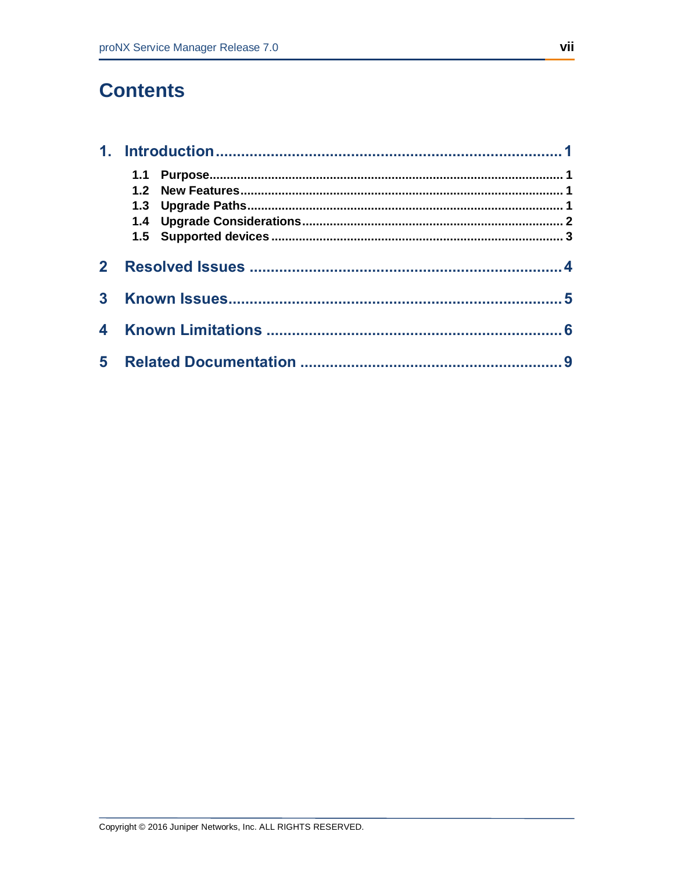## **Contents**

| 2 <sup>1</sup> |  |  |  |
|----------------|--|--|--|
| $\mathbf{3}$   |  |  |  |
|                |  |  |  |
| 4              |  |  |  |
|                |  |  |  |
| $5 -$          |  |  |  |
|                |  |  |  |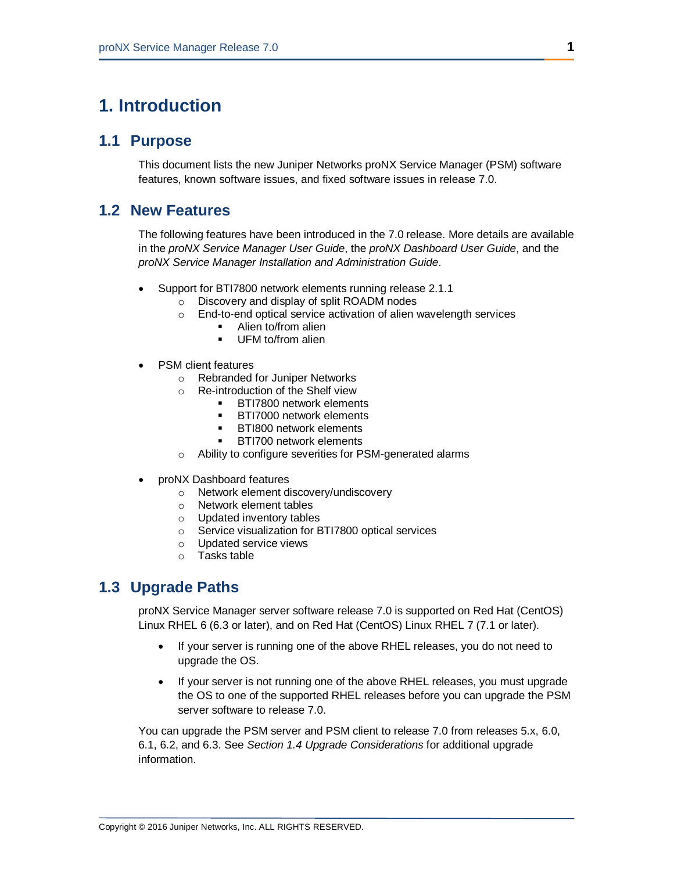### <span id="page-8-1"></span><span id="page-8-0"></span>**1. Introduction**

#### **1.1 Purpose**

This document lists the new Juniper Networks proNX Service Manager (PSM) software features, known software issues, and fixed software issues in release 7.0.

### <span id="page-8-2"></span>**1.2 New Features**

The following features have been introduced in the 7.0 release. More details are available in the *proNX Service Manager User Guide*, the *proNX Dashboard User Guide*, and the *proNX Service Manager Installation and Administration Guide*.

- Support for BTI7800 network elements running release 2.1.1
	- o Discovery and display of split ROADM nodes
		- o End-to-end optical service activation of alien wavelength services
			- Alien to/from alien
			- **UFM to/from alien**
- PSM client features
	- o Rebranded for Juniper Networks
	- o Re-introduction of the Shelf view
		- **BTI7800 network elements**
		- **BTI7000 network elements**
		- **BTI800 network elements**
		- BTI700 network elements
	- o Ability to configure severities for PSM-generated alarms
- proNX Dashboard features
	- o Network element discovery/undiscovery
	- o Network element tables
	- o Updated inventory tables
	- o Service visualization for BTI7800 optical services
	- o Updated service views
	- o Tasks table

### <span id="page-8-3"></span>**1.3 Upgrade Paths**

proNX Service Manager server software release 7.0 is supported on Red Hat (CentOS) Linux RHEL 6 (6.3 or later), and on Red Hat (CentOS) Linux RHEL 7 (7.1 or later).

- If your server is running one of the above RHEL releases, you do not need to upgrade the OS.
- If your server is not running one of the above RHEL releases, you must upgrade the OS to one of the supported RHEL releases before you can upgrade the PSM server software to release 7.0.

You can upgrade the PSM server and PSM client to release 7.0 from releases 5.x, 6.0, 6.1, 6.2, and 6.3. See *Section 1.4 Upgrade Considerations* for additional upgrade information.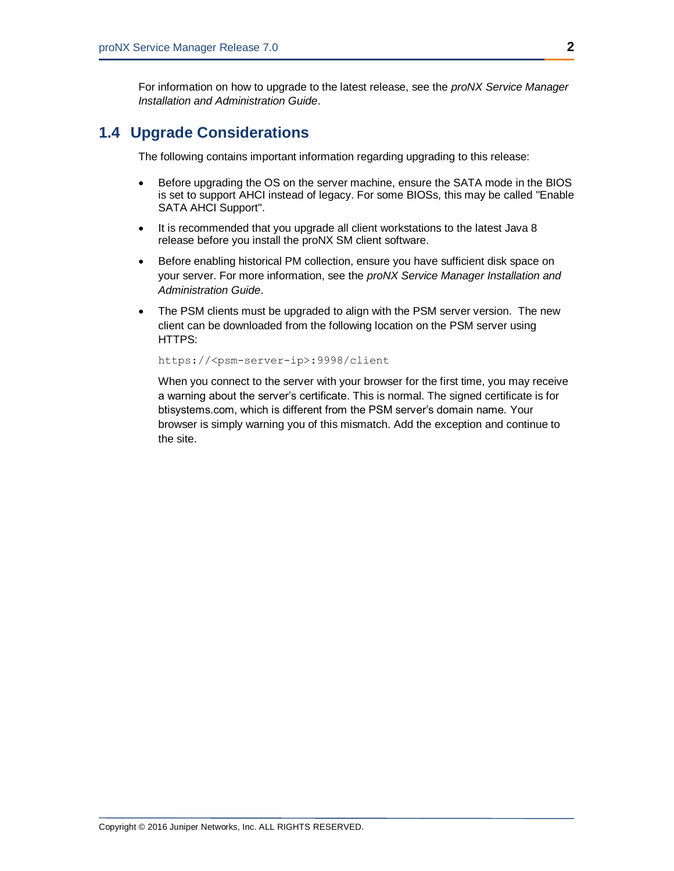For information on how to upgrade to the latest release, see the *proNX Service Manager Installation and Administration Guide*.

### <span id="page-9-0"></span>**1.4 Upgrade Considerations**

The following contains important information regarding upgrading to this release:

- Before upgrading the OS on the server machine, ensure the SATA mode in the BIOS is set to support AHCI instead of legacy. For some BIOSs, this may be called "Enable SATA AHCI Support".
- It is recommended that you upgrade all client workstations to the latest Java 8 release before you install the proNX SM client software.
- Before enabling historical PM collection, ensure you have sufficient disk space on your server. For more information, see the *proNX Service Manager Installation and Administration Guide*.
- The PSM clients must be upgraded to align with the PSM server version. The new client can be downloaded from the following location on the PSM server using HTTPS:

https://<psm-server-ip>:9998/client

When you connect to the server with your browser for the first time, you may receive a warning about the server's certificate. This is normal. The signed certificate is for btisystems.com, which is different from the PSM server's domain name. Your browser is simply warning you of this mismatch. Add the exception and continue to the site.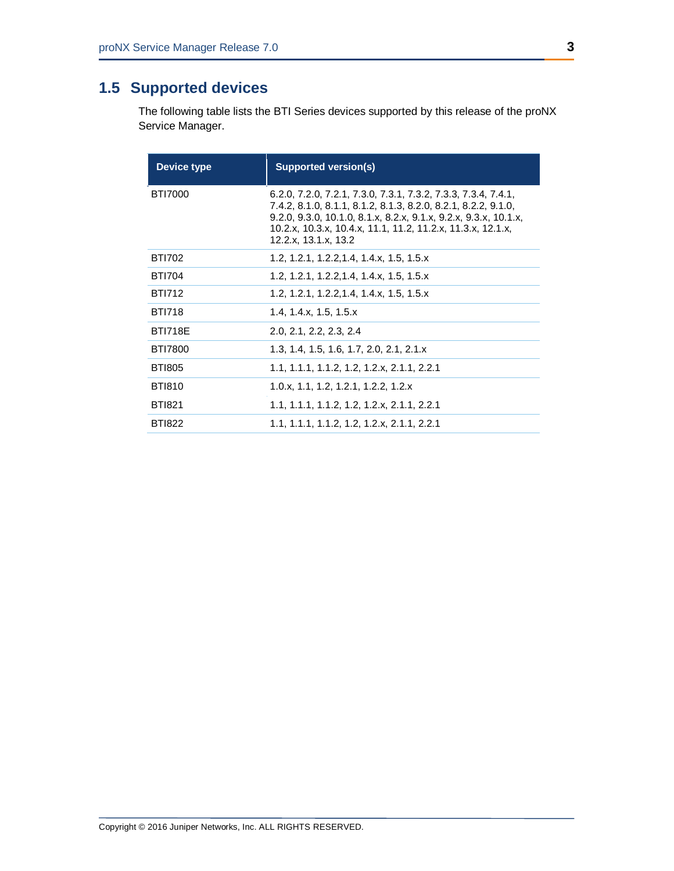## <span id="page-10-0"></span>**1.5 Supported devices**

The following table lists the BTI Series devices supported by this release of the proNX Service Manager.

| Device type    | <b>Supported version(s)</b>                                                                                                                                                                                                                                                                 |
|----------------|---------------------------------------------------------------------------------------------------------------------------------------------------------------------------------------------------------------------------------------------------------------------------------------------|
| <b>BTI7000</b> | 6.2.0, 7.2.0, 7.2.1, 7.3.0, 7.3.1, 7.3.2, 7.3.3, 7.3.4, 7.4.1,<br>7.4.2, 8.1.0, 8.1.1, 8.1.2, 8.1.3, 8.2.0, 8.2.1, 8.2.2, 9.1.0,<br>9.2.0, 9.3.0, 10.1.0, 8.1.x, 8.2.x, 9.1.x, 9.2.x, 9.3.x, 10.1.x,<br>10.2.x, 10.3.x, 10.4.x, 11.1, 11.2, 11.2.x, 11.3.x, 12.1.x,<br>12.2.x, 13.1.x, 13.2 |
| <b>BTI702</b>  | 1.2, 1.2.1, 1.2.2, 1.4, 1.4.x, 1.5, 1.5.x                                                                                                                                                                                                                                                   |
| <b>BTI704</b>  | 1.2, 1.2.1, 1.2.2, 1.4, 1.4.x, 1.5, 1.5.x                                                                                                                                                                                                                                                   |
| <b>BTI712</b>  | 1.2, 1.2.1, 1.2.2, 1.4, 1.4.x, 1.5, 1.5.x                                                                                                                                                                                                                                                   |
| <b>BTI718</b>  | 1.4, 1.4x, 1.5, 1.5x                                                                                                                                                                                                                                                                        |
| <b>BTI718E</b> | 2.0, 2.1, 2.2, 2.3, 2.4                                                                                                                                                                                                                                                                     |
| <b>BTI7800</b> | 1.3, 1.4, 1.5, 1.6, 1.7, 2.0, 2.1, 2.1.x                                                                                                                                                                                                                                                    |
| <b>BTI805</b>  | 1.1, 1.1.1, 1.1.2, 1.2, 1.2.x, 2.1.1, 2.2.1                                                                                                                                                                                                                                                 |
| <b>BTI810</b>  | 1.0.x, 1.1, 1.2, 1.2.1, 1.2.2, 1.2.x                                                                                                                                                                                                                                                        |
| <b>BTI821</b>  | 1.1, 1.1.1, 1.1.2, 1.2, 1.2.x, 2.1.1, 2.2.1                                                                                                                                                                                                                                                 |
| <b>BTI822</b>  | 1.1, 1.1.1, 1.1.2, 1.2, 1.2.x, 2.1.1, 2.2.1                                                                                                                                                                                                                                                 |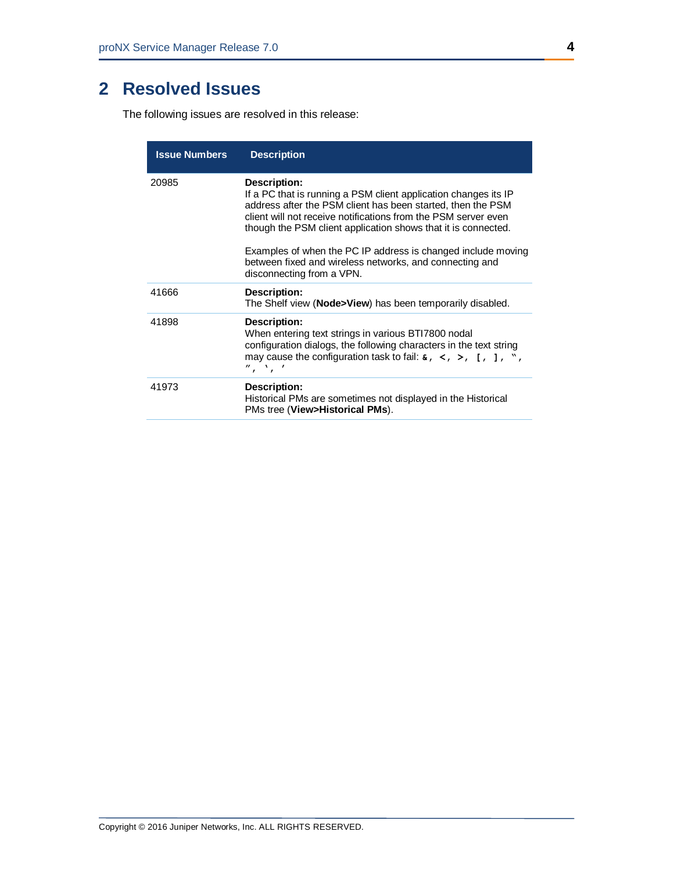## <span id="page-11-0"></span>**2 Resolved Issues**

The following issues are resolved in this release:

| <b>Issue Numbers</b> | <b>Description</b>                                                                                                                                                                                                                                                                                                                                                                                                  |
|----------------------|---------------------------------------------------------------------------------------------------------------------------------------------------------------------------------------------------------------------------------------------------------------------------------------------------------------------------------------------------------------------------------------------------------------------|
| 20985                | <b>Description:</b><br>If a PC that is running a PSM client application changes its IP<br>address after the PSM client has been started, then the PSM<br>client will not receive notifications from the PSM server even<br>though the PSM client application shows that it is connected.<br>Examples of when the PC IP address is changed include moving<br>between fixed and wireless networks, and connecting and |
|                      | disconnecting from a VPN.                                                                                                                                                                                                                                                                                                                                                                                           |
| 41666                | Description:<br>The Shelf view (Node>View) has been temporarily disabled.                                                                                                                                                                                                                                                                                                                                           |
| 41898                | Description:<br>When entering text strings in various BTI7800 nodal<br>configuration dialogs, the following characters in the text string<br>may cause the configuration task to fail: $\epsilon$ , $\lt$ , $\gt$ , [, ], ",<br>$^{\prime\prime}$ , $^{\prime}$ , $^{\prime}$                                                                                                                                       |
| 41973                | Description:<br>Historical PMs are sometimes not displayed in the Historical<br>PMs tree (View>Historical PMs).                                                                                                                                                                                                                                                                                                     |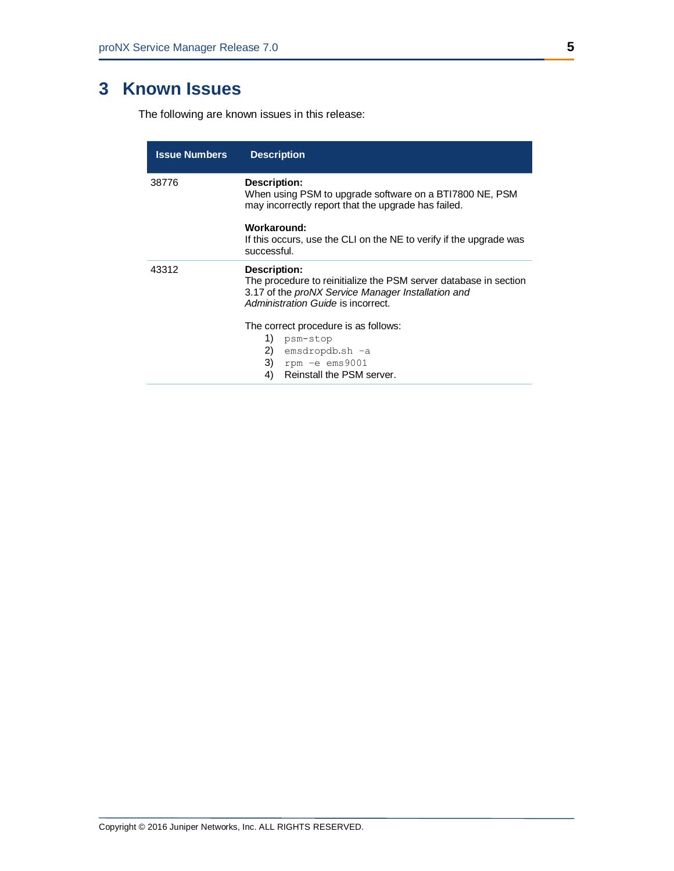## <span id="page-12-0"></span>**3 Known Issues**

The following are known issues in this release:

| <b>Issue Numbers</b> | <b>Description</b>                                                                                                                                                           |  |
|----------------------|------------------------------------------------------------------------------------------------------------------------------------------------------------------------------|--|
| 38776                | Description:<br>When using PSM to upgrade software on a BTI7800 NE, PSM<br>may incorrectly report that the upgrade has failed.                                               |  |
|                      | Workaround:<br>If this occurs, use the CLI on the NE to verify if the upgrade was<br>successful.                                                                             |  |
| 43312                | Description:<br>The procedure to reinitialize the PSM server database in section<br>3.17 of the proNX Service Manager Installation and<br>Administration Guide is incorrect. |  |
|                      | The correct procedure is as follows:<br>1)<br>psm-stop<br>2)<br>emsdropdb.sh -a<br>3)<br>rpm -e ems9001<br>Reinstall the PSM server.<br>4)                                   |  |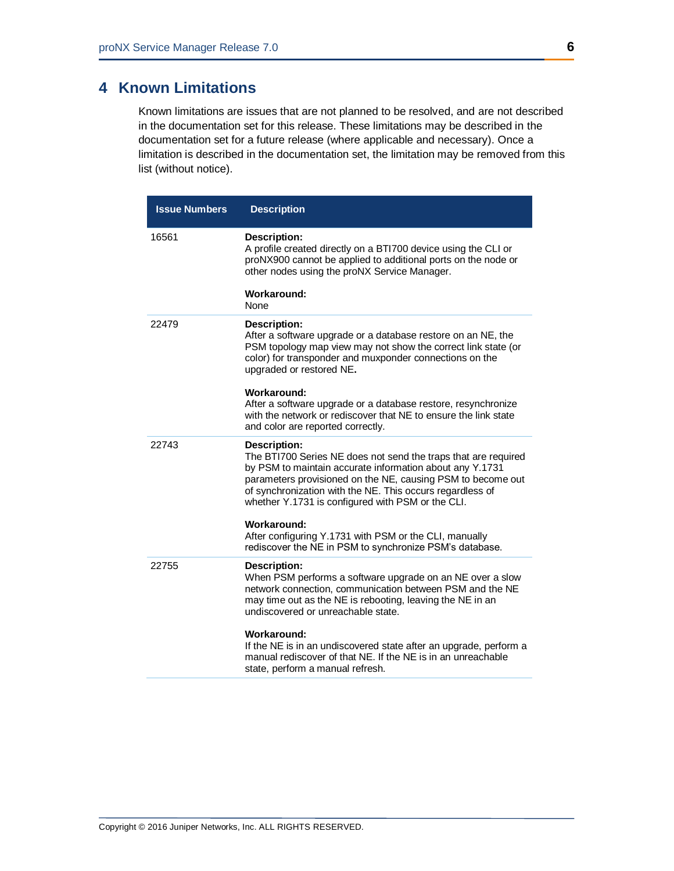### <span id="page-13-0"></span>**4 Known Limitations**

Known limitations are issues that are not planned to be resolved, and are not described in the documentation set for this release. These limitations may be described in the documentation set for a future release (where applicable and necessary). Once a limitation is described in the documentation set, the limitation may be removed from this list (without notice).

| <b>Issue Numbers</b> | <b>Description</b>                                                                                                                                                                                                                                                                                                          |
|----------------------|-----------------------------------------------------------------------------------------------------------------------------------------------------------------------------------------------------------------------------------------------------------------------------------------------------------------------------|
| 16561                | <b>Description:</b><br>A profile created directly on a BTI700 device using the CLI or<br>proNX900 cannot be applied to additional ports on the node or<br>other nodes using the proNX Service Manager.                                                                                                                      |
|                      | <b>Workaround:</b><br>None                                                                                                                                                                                                                                                                                                  |
| 22479                | <b>Description:</b><br>After a software upgrade or a database restore on an NE, the<br>PSM topology map view may not show the correct link state (or<br>color) for transponder and muxponder connections on the<br>upgraded or restored NE.                                                                                 |
|                      | Workaround:<br>After a software upgrade or a database restore, resynchronize<br>with the network or rediscover that NE to ensure the link state<br>and color are reported correctly.                                                                                                                                        |
| 22743                | Description:<br>The BTI700 Series NE does not send the traps that are required<br>by PSM to maintain accurate information about any Y.1731<br>parameters provisioned on the NE, causing PSM to become out<br>of synchronization with the NE. This occurs regardless of<br>whether Y.1731 is configured with PSM or the CLI. |
|                      | Workaround:<br>After configuring Y.1731 with PSM or the CLI, manually<br>rediscover the NE in PSM to synchronize PSM's database.                                                                                                                                                                                            |
| 22755                | <b>Description:</b><br>When PSM performs a software upgrade on an NE over a slow<br>network connection, communication between PSM and the NE<br>may time out as the NE is rebooting, leaving the NE in an<br>undiscovered or unreachable state.                                                                             |
|                      | Workaround:<br>If the NE is in an undiscovered state after an upgrade, perform a<br>manual rediscover of that NE. If the NE is in an unreachable<br>state, perform a manual refresh.                                                                                                                                        |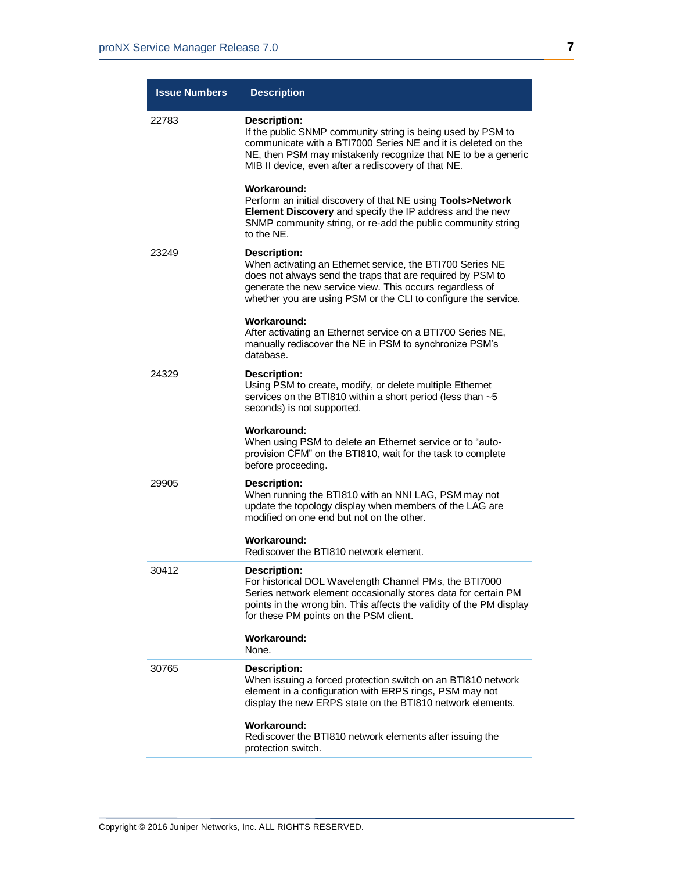| <b>Issue Numbers</b> | <b>Description</b>                                                                                                                                                                                                                                                          |
|----------------------|-----------------------------------------------------------------------------------------------------------------------------------------------------------------------------------------------------------------------------------------------------------------------------|
| 22783                | <b>Description:</b><br>If the public SNMP community string is being used by PSM to<br>communicate with a BTI7000 Series NE and it is deleted on the<br>NE, then PSM may mistakenly recognize that NE to be a generic<br>MIB II device, even after a rediscovery of that NE. |
|                      | Workaround:<br>Perform an initial discovery of that NE using Tools>Network<br>Element Discovery and specify the IP address and the new<br>SNMP community string, or re-add the public community string<br>to the NE.                                                        |
| 23249                | Description:<br>When activating an Ethernet service, the BTI700 Series NE<br>does not always send the traps that are required by PSM to<br>generate the new service view. This occurs regardless of<br>whether you are using PSM or the CLI to configure the service.       |
|                      | Workaround:<br>After activating an Ethernet service on a BTI700 Series NE,<br>manually rediscover the NE in PSM to synchronize PSM's<br>database.                                                                                                                           |
| 24329                | Description:<br>Using PSM to create, modify, or delete multiple Ethernet<br>services on the BTI810 within a short period (less than ~5<br>seconds) is not supported.                                                                                                        |
|                      | Workaround:<br>When using PSM to delete an Ethernet service or to "auto-<br>provision CFM" on the BTI810, wait for the task to complete<br>before proceeding.                                                                                                               |
| 29905                | Description:<br>When running the BTI810 with an NNI LAG, PSM may not<br>update the topology display when members of the LAG are<br>modified on one end but not on the other.                                                                                                |
|                      | Workaround:<br>Rediscover the BTI810 network element.                                                                                                                                                                                                                       |
| 30412                | Description:<br>For historical DOL Wavelength Channel PMs, the BTI7000<br>Series network element occasionally stores data for certain PM<br>points in the wrong bin. This affects the validity of the PM display<br>for these PM points on the PSM client.                  |
|                      | Workaround:<br>None.                                                                                                                                                                                                                                                        |
| 30765                | <b>Description:</b><br>When issuing a forced protection switch on an BTI810 network<br>element in a configuration with ERPS rings, PSM may not<br>display the new ERPS state on the BTI810 network elements.                                                                |
|                      | Workaround:<br>Rediscover the BTI810 network elements after issuing the<br>protection switch.                                                                                                                                                                               |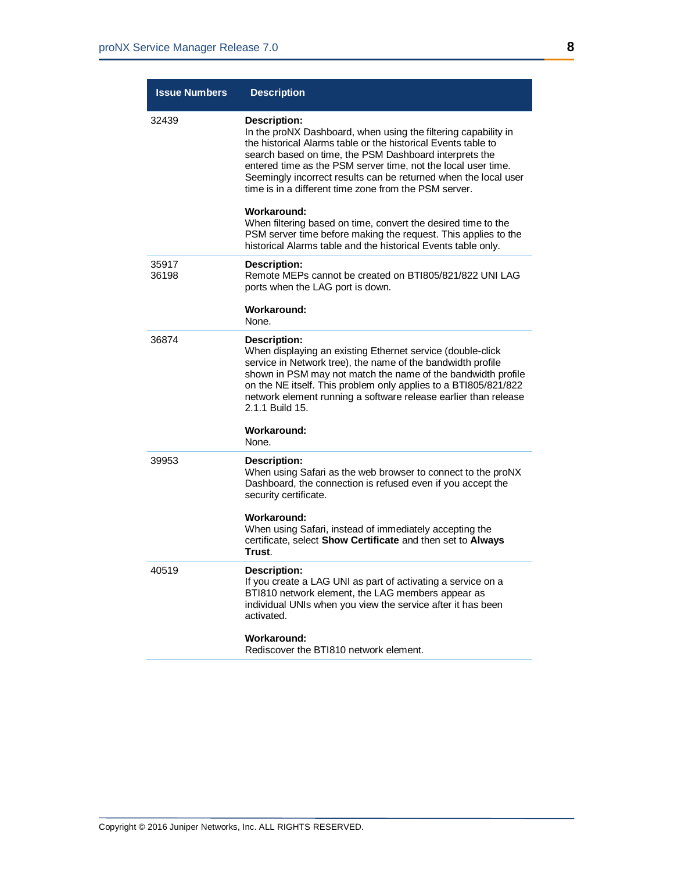| <b>Issue Numbers</b> | <b>Description</b>                                                                                                                                                                                                                                                                                                                                                                                                           |
|----------------------|------------------------------------------------------------------------------------------------------------------------------------------------------------------------------------------------------------------------------------------------------------------------------------------------------------------------------------------------------------------------------------------------------------------------------|
| 32439                | <b>Description:</b><br>In the proNX Dashboard, when using the filtering capability in<br>the historical Alarms table or the historical Events table to<br>search based on time, the PSM Dashboard interprets the<br>entered time as the PSM server time, not the local user time.<br>Seemingly incorrect results can be returned when the local user<br>time is in a different time zone from the PSM server.<br>Workaround: |
|                      | When filtering based on time, convert the desired time to the<br>PSM server time before making the request. This applies to the<br>historical Alarms table and the historical Events table only.                                                                                                                                                                                                                             |
| 35917<br>36198       | Description:<br>Remote MEPs cannot be created on BT1805/821/822 UNI LAG<br>ports when the LAG port is down.                                                                                                                                                                                                                                                                                                                  |
|                      | Workaround:<br>None.                                                                                                                                                                                                                                                                                                                                                                                                         |
| 36874                | Description:<br>When displaying an existing Ethernet service (double-click<br>service in Network tree), the name of the bandwidth profile<br>shown in PSM may not match the name of the bandwidth profile<br>on the NE itself. This problem only applies to a BTI805/821/822<br>network element running a software release earlier than release<br>2.1.1 Build 15.                                                           |
|                      | Workaround:<br>None.                                                                                                                                                                                                                                                                                                                                                                                                         |
| 39953                | Description:<br>When using Safari as the web browser to connect to the proNX<br>Dashboard, the connection is refused even if you accept the<br>security certificate.                                                                                                                                                                                                                                                         |
|                      | Workaround:<br>When using Safari, instead of immediately accepting the<br>certificate, select Show Certificate and then set to Always<br>Trust.                                                                                                                                                                                                                                                                              |
| 40519                | <b>Description:</b><br>If you create a LAG UNI as part of activating a service on a<br>BTI810 network element, the LAG members appear as<br>individual UNIs when you view the service after it has been<br>activated.                                                                                                                                                                                                        |
|                      | Workaround:<br>Rediscover the BTI810 network element.                                                                                                                                                                                                                                                                                                                                                                        |